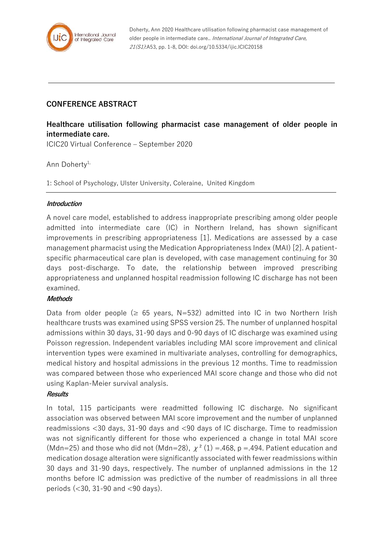

Doherty, Ann 2020 Healthcare utilisation following pharmacist case management of older people in intermediate care.. International Journal of Integrated Care, 21(S1):A53, pp. 1-8, DOI: doi.org/10.5334/ijic.ICIC20158

# **CONFERENCE ABSTRACT**

# **Healthcare utilisation following pharmacist case management of older people in intermediate care.**

ICIC20 Virtual Conference – September 2020

# Ann Doherty<sup>1,</sup>

1: School of Psychology, Ulster University, Coleraine, United Kingdom

# **Introduction**

A novel care model, established to address inappropriate prescribing among older people admitted into intermediate care (IC) in Northern Ireland, has shown significant improvements in prescribing appropriateness [1]. Medications are assessed by a case management pharmacist using the Medication Appropriateness Index (MAI) [2]. A patientspecific pharmaceutical care plan is developed, with case management continuing for 30 days post-discharge. To date, the relationship between improved prescribing appropriateness and unplanned hospital readmission following IC discharge has not been examined.

# **Methods**

Data from older people ( $\geq$  65 years, N=532) admitted into IC in two Northern Irish healthcare trusts was examined using SPSS version 25. The number of unplanned hospital admissions within 30 days, 31-90 days and 0-90 days of IC discharge was examined using Poisson regression. Independent variables including MAI score improvement and clinical intervention types were examined in multivariate analyses, controlling for demographics, medical history and hospital admissions in the previous 12 months. Time to readmission was compared between those who experienced MAI score change and those who did not using Kaplan-Meier survival analysis.

# **Results**

In total, 115 participants were readmitted following IC discharge. No significant association was observed between MAI score improvement and the number of unplanned readmissions <30 days, 31-90 days and <90 days of IC discharge. Time to readmission was not significantly different for those who experienced a change in total MAI score (Mdn=25) and those who did not (Mdn=28),  $\chi^2$  (1) = 468, p = 494. Patient education and medication dosage alteration were significantly associated with fewer readmissions within 30 days and 31-90 days, respectively. The number of unplanned admissions in the 12 months before IC admission was predictive of the number of readmissions in all three periods (<30, 31-90 and <90 days).